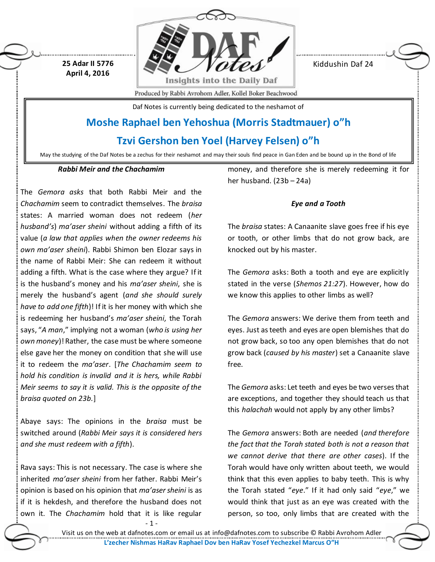**25 Adar II 5776 April 4, 2016**



Kiddushin Daf 24

Produced by Rabbi Avrohom Adler, Kollel Boker Beachwood

Daf Notes is currently being dedicated to the neshamot of

# **Moshe Raphael ben Yehoshua (Morris Stadtmauer) o"h**

**Tzvi Gershon ben Yoel (Harvey Felsen) o"h**

May the studying of the Daf Notes be a zechus for their neshamot and may their souls find peace in Gan Eden and be bound up in the Bond of life

#### *Rabbi Meir and the Chachamim*

The *Gemora asks* that both Rabbi Meir and the *Chachamim* seem to contradict themselves. The *braisa* states: A married woman does not redeem (*her husband's*) *ma'aser sheini* without adding a fifth of its value (*a law that applies when the owner redeems his own ma'aser sheini*). Rabbi Shimon ben Elozar says in the name of Rabbi Meir: She can redeem it without adding a fifth. What is the case where they argue? If it is the husband's money and his *ma'aser sheini*, she is merely the husband's agent (*and she should surely have to add one fifth*)! If it is her money with which she is redeeming her husband's *ma'aser sheini*, the Torah says, "*A man*," implying not a woman (*who is using her own money*)! Rather, the case must be where someone else gave her the money on condition that she will use it to redeem the *ma'aser*. [*The Chachamim seem to hold his condition is invalid and it is hers, while Rabbi Meir seems to say it is valid. This is the opposite of the braisa quoted on 23b.*]

Abaye says: The opinions in the *braisa* must be switched around (*Rabbi Meir says it is considered hers and she must redeem with a fifth*).

Rava says: This is not necessary. The case is where she inherited *ma'aser sheini* from her father. Rabbi Meir's opinion is based on his opinion that *ma'asersheini* is as if it is hekdesh, and therefore the husband does not own it. The *Chachamim* hold that it is like regular

money, and therefore she is merely redeeming it for her husband. (23b – 24a)

### *Eye and a Tooth*

The *braisa* states: A Canaanite slave goes free if his eye or tooth, or other limbs that do not grow back, are knocked out by his master.

The *Gemora* asks: Both a tooth and eye are explicitly stated in the verse (*Shemos 21:27*). However, how do we know this applies to other limbs as well?

The *Gemora* answers: We derive them from teeth and eyes. Just as teeth and eyes are open blemishes that do not grow back, so too any open blemishes that do not grow back (*caused by his master*) set a Canaanite slave free.

The *Gemora* asks: Let teeth and eyes be two verses that are exceptions, and together they should teach us that this *halachah* would not apply by any other limbs?

The *Gemora* answers: Both are needed (*and therefore the fact that the Torah stated both is not a reason that we cannot derive that there are other cases*). If the Torah would have only written about teeth, we would think that this even applies to baby teeth. This is why the Torah stated "*eye*." If it had only said "*eye*," we would think that just as an eye was created with the person, so too, only limbs that are created with the

- 1 -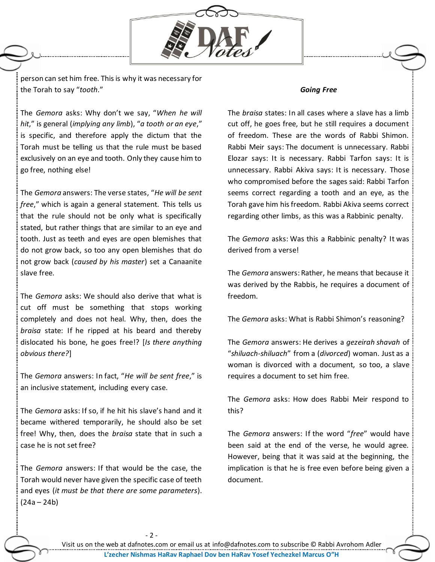

person can set him free. This is why it was necessary for the Torah to say "*tooth*."

The *Gemora* asks: Why don't we say, "*When he will hit*," is general (*implying any limb*), "*a tooth or an eye*," is specific, and therefore apply the dictum that the Torah must be telling us that the rule must be based exclusively on an eye and tooth. Only they cause him to go free, nothing else!

The *Gemora* answers: The verse states, "*He will be sent free*," which is again a general statement. This tells us that the rule should not be only what is specifically stated, but rather things that are similar to an eye and tooth. Just as teeth and eyes are open blemishes that do not grow back, so too any open blemishes that do not grow back (*caused by his master*) set a Canaanite slave free.

The *Gemora* asks: We should also derive that what is cut off must be something that stops working completely and does not heal. Why, then, does the *braisa* state: If he ripped at his beard and thereby dislocated his bone, he goes free!? [*Is there anything obvious there?*]

The *Gemora* answers: In fact, "*He will be sent free*," is an inclusive statement, including every case.

The *Gemora* asks: If so, if he hit his slave's hand and it became withered temporarily, he should also be set free! Why, then, does the *braisa* state that in such a case he is not set free?

The *Gemora* answers: If that would be the case, the Torah would never have given the specific case of teeth and eyes (*it must be that there are some parameters*).  $(24a - 24b)$ 

 $-2 -$ 

#### *Going Free*

The *braisa* states: In all cases where a slave has a limb cut off, he goes free, but he still requires a document of freedom. These are the words of Rabbi Shimon. Rabbi Meir says: The document is unnecessary. Rabbi Elozar says: It is necessary. Rabbi Tarfon says: It is unnecessary. Rabbi Akiva says: It is necessary. Those who compromised before the sages said: Rabbi Tarfon seems correct regarding a tooth and an eye, as the Torah gave him his freedom. Rabbi Akiva seems correct regarding other limbs, as this was a Rabbinic penalty.

The *Gemora* asks: Was this a Rabbinic penalty? It was derived from a verse!

The *Gemora* answers: Rather, he means that because it was derived by the Rabbis, he requires a document of freedom.

The *Gemora* asks: What is Rabbi Shimon's reasoning?

The *Gemora* answers: He derives a *gezeirah shavah* of "*shiluach-shiluach*" from a (*divorced*) woman. Just as a woman is divorced with a document, so too, a slave requires a document to set him free.

The *Gemora* asks: How does Rabbi Meir respond to this?

The *Gemora* answers: If the word "*free*" would have been said at the end of the verse, he would agree. However, being that it was said at the beginning, the implication is that he is free even before being given a document.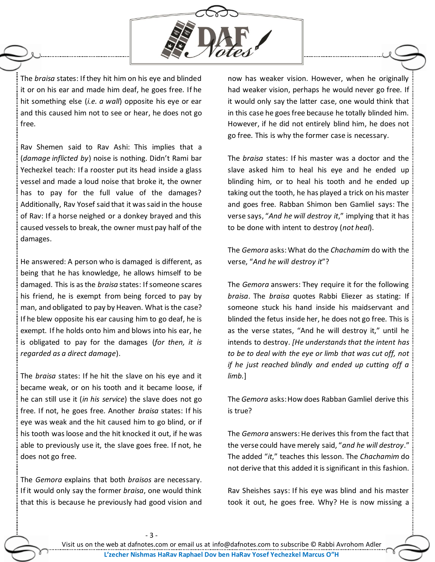

The *braisa* states: If they hit him on his eye and blinded it or on his ear and made him deaf, he goes free. If he hit something else (*i.e. a wall*) opposite his eye or ear and this caused him not to see or hear, he does not go free.

Rav Shemen said to Rav Ashi: This implies that a (*damage inflicted by*) noise is nothing. Didn't Rami bar Yechezkel teach: If a rooster put its head inside a glass vessel and made a loud noise that broke it, the owner has to pay for the full value of the damages? Additionally, Rav Yosef said that it was said in the house of Rav: If a horse neighed or a donkey brayed and this caused vessels to break, the owner must pay half of the damages.

He answered: A person who is damaged is different, as being that he has knowledge, he allows himself to be damaged. This is as the *braisa* states: If someone scares his friend, he is exempt from being forced to pay by man, and obligated to pay by Heaven. What is the case? If he blew opposite his ear causing him to go deaf, he is exempt. If he holds onto him and blows into his ear, he is obligated to pay for the damages (*for then, it is regarded as a direct damage*).

The *braisa* states: If he hit the slave on his eye and it became weak, or on his tooth and it became loose, if he can still use it (*in his service*) the slave does not go free. If not, he goes free. Another *braisa* states: If his eye was weak and the hit caused him to go blind, or if his tooth was loose and the hit knocked it out, if he was able to previously use it, the slave goes free. If not, he does not go free.

The *Gemora* explains that both *braisos* are necessary. If it would only say the former *braisa*, one would think that this is because he previously had good vision and now has weaker vision. However, when he originally had weaker vision, perhaps he would never go free. If it would only say the latter case, one would think that in this case he goes free because he totally blinded him. However, if he did not entirely blind him, he does not go free. This is why the former case is necessary.

The *braisa* states: If his master was a doctor and the slave asked him to heal his eye and he ended up blinding him, or to heal his tooth and he ended up taking out the tooth, he has played a trick on his master and goes free. Rabban Shimon ben Gamliel says: The verse says, "*And he will destroy it*," implying that it has to be done with intent to destroy (*not heal*).

The *Gemora* asks: What do the *Chachamim* do with the verse, "*And he will destroy it*"?

The *Gemora* answers: They require it for the following *braisa*. The *braisa* quotes Rabbi Eliezer as stating: If someone stuck his hand inside his maidservant and blinded the fetus inside her, he does not go free. This is as the verse states, "And he will destroy it," until he intends to destroy. *[He understands that the intent has to be to deal with the eye or limb that was cut off, not if he just reached blindly and ended up cutting off a limb.*]

The *Gemora* asks: How does Rabban Gamliel derive this is true?

The *Gemora* answers: He derives this from the fact that the verse could have merely said, "*and he will destroy*." The added "*it*," teaches this lesson. The *Chachamim* do not derive that this added it is significant in this fashion.

Rav Sheishes says: If his eye was blind and his master took it out, he goes free. Why? He is now missing a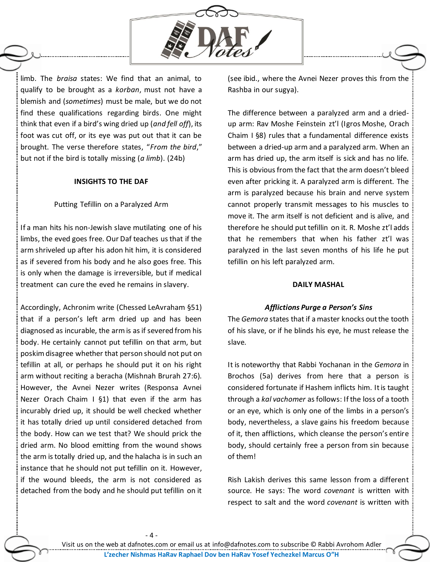

limb. The *braisa* states: We find that an animal, to qualify to be brought as a *korban*, must not have a blemish and (*sometimes*) must be male, but we do not find these qualifications regarding birds. One might think that even if a bird's wing dried up (*and fell off*), its foot was cut off, or its eye was put out that it can be brought. The verse therefore states, "*From the bird*," but not if the bird is totally missing (*a limb*). (24b)

### **INSIGHTS TO THE DAF**

# Putting Tefillin on a Paralyzed Arm

If a man hits his non-Jewish slave mutilating one of his limbs, the eved goes free. Our Daf teaches us that if the arm shriveled up after his adon hit him, it is considered as if severed from his body and he also goes free. This is only when the damage is irreversible, but if medical treatment can cure the eved he remains in slavery.

Accordingly, Achronim write (Chessed LeAvraham §51) that if a person's left arm dried up and has been diagnosed as incurable, the arm is as if severed from his body. He certainly cannot put tefillin on that arm, but poskim disagree whether that person should not put on tefillin at all, or perhaps he should put it on his right arm without reciting a beracha (Mishnah Brurah 27:6). However, the Avnei Nezer writes (Responsa Avnei Nezer Orach Chaim I §1) that even if the arm has incurably dried up, it should be well checked whether it has totally dried up until considered detached from the body. How can we test that? We should prick the dried arm. No blood emitting from the wound shows the arm is totally dried up, and the halacha is in such an instance that he should not put tefillin on it. However, if the wound bleeds, the arm is not considered as detached from the body and he should put tefillin on it

(see ibid., where the Avnei Nezer proves this from the Rashba in our sugya).

The difference between a paralyzed arm and a driedup arm: Rav Moshe Feinstein zt'l (Igros Moshe, Orach Chaim I §8) rules that a fundamental difference exists between a dried-up arm and a paralyzed arm. When an arm has dried up, the arm itself is sick and has no life. This is obvious from the fact that the arm doesn't bleed even after pricking it. A paralyzed arm is different. The arm is paralyzed because his brain and nerve system cannot properly transmit messages to his muscles to move it. The arm itself is not deficient and is alive, and therefore he should put tefillin on it. R. Moshe zt'l adds that he remembers that when his father zt'l was paralyzed in the last seven months of his life he put tefillin on his left paralyzed arm.

## **DAILY MASHAL**

# *Afflictions Purge a Person's Sins*

The *Gemora* states that if a master knocks out the tooth of his slave, or if he blinds his eye, he must release the slave.

It is noteworthy that Rabbi Yochanan in the *Gemora* in Brochos (5a) derives from here that a person is considered fortunate if Hashem inflicts him. It is taught through a *kal vachomer* as follows: If the loss of a tooth or an eye, which is only one of the limbs in a person's body, nevertheless, a slave gains his freedom because of it, then afflictions, which cleanse the person's entire body, should certainly free a person from sin because of them!

Rish Lakish derives this same lesson from a different source. He says: The word *covenant* is written with respect to salt and the word *covenant* is written with